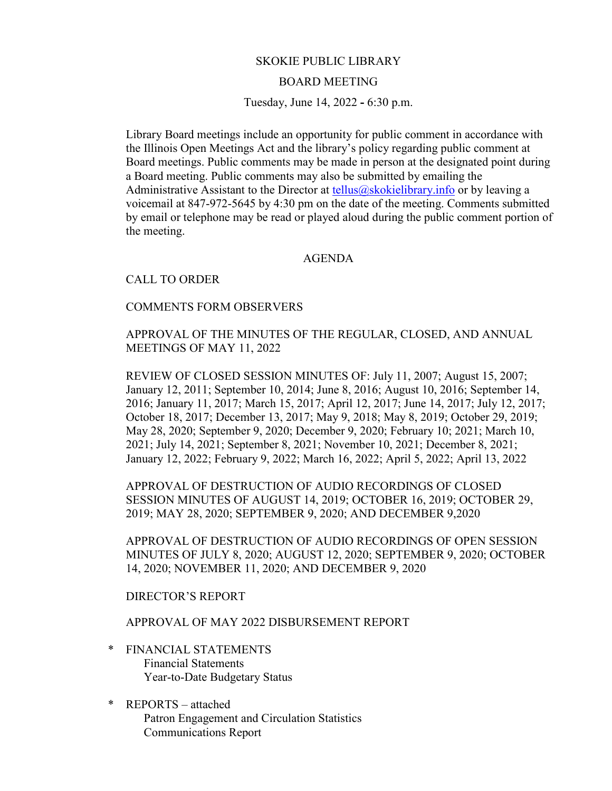# SKOKIE PUBLIC LIBRARY

### BOARD MEETING

Tuesday, June 14, 2022 **-** 6:30 p.m.

Library Board meetings include an opportunity for public comment in accordance with the Illinois Open Meetings Act and the library's policy regarding public comment at Board meetings. Public comments may be made in person at the designated point during a Board meeting. Public comments may also be submitted by emailing the Administrative Assistant to the Director at [tellus@skokielibrary.info](mailto:tellus@skokielibrary.info) or by leaving a voicemail at 847-972-5645 by 4:30 pm on the date of the meeting. Comments submitted by email or telephone may be read or played aloud during the public comment portion of the meeting.

### AGENDA

# CALL TO ORDER

#### COMMENTS FORM OBSERVERS

APPROVAL OF THE MINUTES OF THE REGULAR, CLOSED, AND ANNUAL MEETINGS OF MAY 11, 2022

REVIEW OF CLOSED SESSION MINUTES OF: July 11, 2007; August 15, 2007; January 12, 2011; September 10, 2014; June 8, 2016; August 10, 2016; September 14, 2016; January 11, 2017; March 15, 2017; April 12, 2017; June 14, 2017; July 12, 2017; October 18, 2017; December 13, 2017; May 9, 2018; May 8, 2019; October 29, 2019; May 28, 2020; September 9, 2020; December 9, 2020; February 10; 2021; March 10, 2021; July 14, 2021; September 8, 2021; November 10, 2021; December 8, 2021; January 12, 2022; February 9, 2022; March 16, 2022; April 5, 2022; April 13, 2022

APPROVAL OF DESTRUCTION OF AUDIO RECORDINGS OF CLOSED SESSION MINUTES OF AUGUST 14, 2019; OCTOBER 16, 2019; OCTOBER 29, 2019; MAY 28, 2020; SEPTEMBER 9, 2020; AND DECEMBER 9,2020

APPROVAL OF DESTRUCTION OF AUDIO RECORDINGS OF OPEN SESSION MINUTES OF JULY 8, 2020; AUGUST 12, 2020; SEPTEMBER 9, 2020; OCTOBER 14, 2020; NOVEMBER 11, 2020; AND DECEMBER 9, 2020

### DIRECTOR'S REPORT

# APPROVAL OF MAY 2022 DISBURSEMENT REPORT

- \* FINANCIAL STATEMENTS Financial Statements Year-to-Date Budgetary Status
- \* REPORTS attached Patron Engagement and Circulation Statistics Communications Report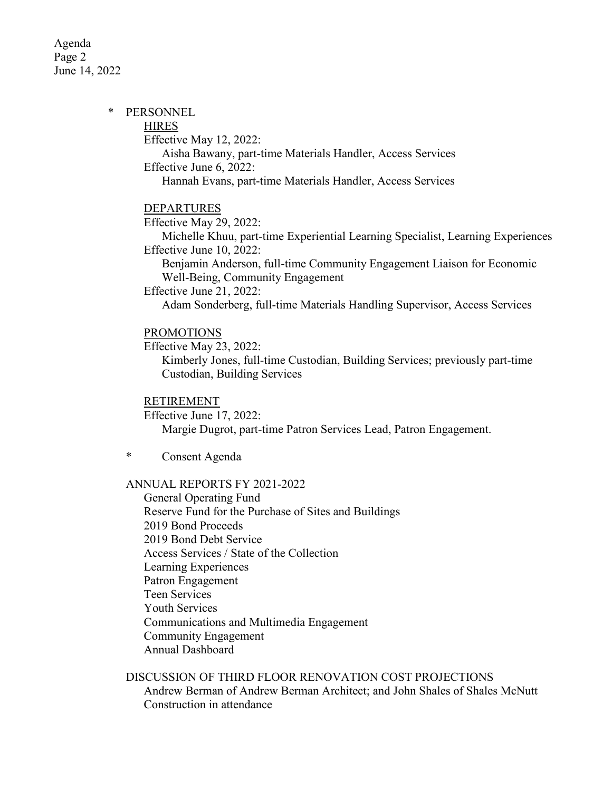Agenda Page 2 June 14, 2022

#### \* PERSONNEL

**HIRES** 

Effective May 12, 2022:

Aisha Bawany, part-time Materials Handler, Access Services Effective June 6, 2022:

Hannah Evans, part-time Materials Handler, Access Services

#### DEPARTURES

Effective May 29, 2022:

Michelle Khuu, part-time Experiential Learning Specialist, Learning Experiences Effective June 10, 2022:

Benjamin Anderson, full-time Community Engagement Liaison for Economic Well-Being, Community Engagement

Effective June 21, 2022:

Adam Sonderberg, full-time Materials Handling Supervisor, Access Services

# PROMOTIONS

Effective May 23, 2022:

Kimberly Jones, full-time Custodian, Building Services; previously part-time Custodian, Building Services

### RETIREMENT

Effective June 17, 2022: Margie Dugrot, part-time Patron Services Lead, Patron Engagement.

\* Consent Agenda

# ANNUAL REPORTS FY 2021-2022

General Operating Fund Reserve Fund for the Purchase of Sites and Buildings 2019 Bond Proceeds 2019 Bond Debt Service Access Services / State of the Collection Learning Experiences Patron Engagement Teen Services Youth Services Communications and Multimedia Engagement Community Engagement Annual Dashboard

DISCUSSION OF THIRD FLOOR RENOVATION COST PROJECTIONS

Andrew Berman of Andrew Berman Architect; and John Shales of Shales McNutt Construction in attendance